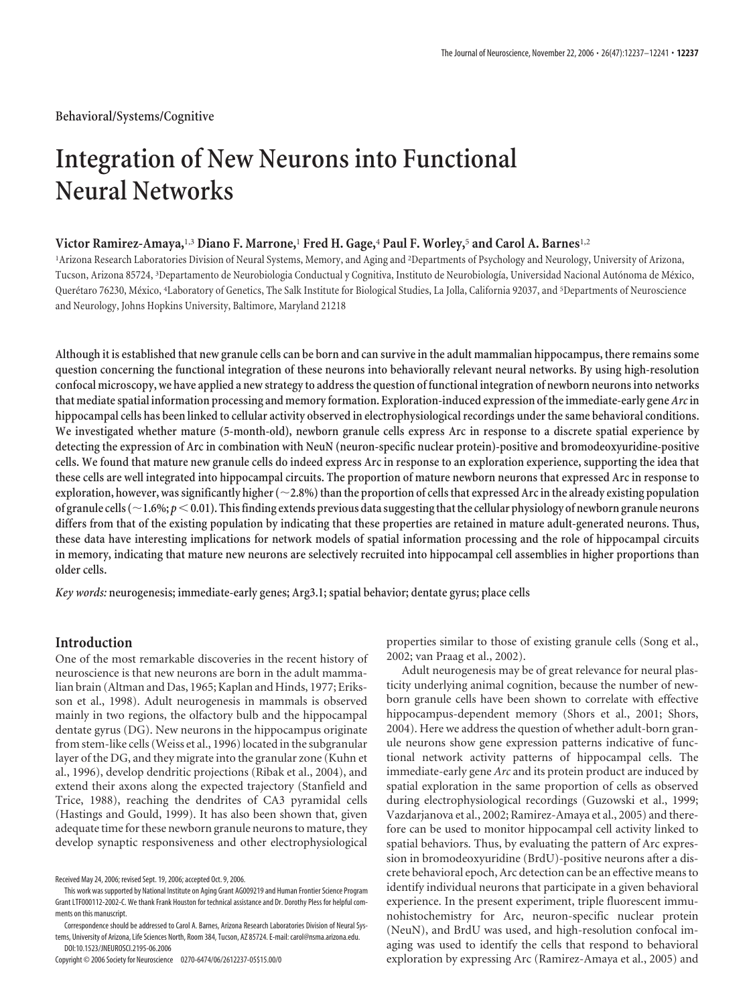**Behavioral/Systems/Cognitive**

# **Integration of New Neurons into Functional Neural Networks**

# **Victor Ramirez-Amaya,**1,3 **Diano F. Marrone,**<sup>1</sup> **Fred H. Gage,**<sup>4</sup> **Paul F. Worley,**<sup>5</sup> **and Carol A. Barnes**1,2

<sup>1</sup>Arizona Research Laboratories Division of Neural Systems, Memory, and Aging and <sup>2</sup>Departments of Psychology and Neurology, University of Arizona, Tucson, Arizona 85724, <sup>3</sup>Departamento de Neurobiologia Conductual y Cognitiva, Instituto de Neurobiología, Universidad Nacional Autónoma de México, Querétaro 76230, México, <sup>4</sup>Laboratory of Genetics, The Salk Institute for Biological Studies, La Jolla, California 92037, and <sup>5</sup>Departments of Neuroscience and Neurology, Johns Hopkins University, Baltimore, Maryland 21218

**Although it is established that new granule cells can be born and can survive in the adult mammalian hippocampus, there remains some question concerning the functional integration of these neurons into behaviorally relevant neural networks. By using high-resolution confocal microscopy, we have applied a new strategy to address the question of functional integration of newborn neurons into networks that mediate spatial information processing and memory formation. Exploration-induced expression of the immediate-early gene** *Arc***in hippocampal cells has been linked to cellular activity observed in electrophysiological recordings under the same behavioral conditions. We investigated whether mature (5-month-old), newborn granule cells express Arc in response to a discrete spatial experience by detecting the expression of Arc in combination with NeuN (neuron-specific nuclear protein)-positive and bromodeoxyuridine-positive cells. We found that mature new granule cells do indeed express Arc in response to an exploration experience, supporting the idea that these cells are well integrated into hippocampal circuits. The proportion of mature newborn neurons that expressed Arc in response to exploration, however, was significantly higher (2.8%) than the proportion of cells that expressed Arc in the already existing population of granule cells (1.6%;** *p*-**0.01). Thisfinding extends previous data suggestingthatthe cellular physiology of newborn granule neurons differs from that of the existing population by indicating that these properties are retained in mature adult-generated neurons. Thus, these data have interesting implications for network models of spatial information processing and the role of hippocampal circuits in memory, indicating that mature new neurons are selectively recruited into hippocampal cell assemblies in higher proportions than older cells.**

*Key words:* **neurogenesis; immediate-early genes; Arg3.1; spatial behavior; dentate gyrus; place cells**

# **Introduction**

One of the most remarkable discoveries in the recent history of neuroscience is that new neurons are born in the adult mammalian brain (Altman and Das, 1965; Kaplan and Hinds, 1977; Eriksson et al., 1998). Adult neurogenesis in mammals is observed mainly in two regions, the olfactory bulb and the hippocampal dentate gyrus (DG). New neurons in the hippocampus originate from stem-like cells (Weiss et al., 1996) located in the subgranular layer of the DG, and they migrate into the granular zone (Kuhn et al., 1996), develop dendritic projections (Ribak et al., 2004), and extend their axons along the expected trajectory (Stanfield and Trice, 1988), reaching the dendrites of CA3 pyramidal cells (Hastings and Gould, 1999). It has also been shown that, given adequate time for these newborn granule neurons to mature, they develop synaptic responsiveness and other electrophysiological

properties similar to those of existing granule cells (Song et al., 2002; van Praag et al., 2002).

Adult neurogenesis may be of great relevance for neural plasticity underlying animal cognition, because the number of newborn granule cells have been shown to correlate with effective hippocampus-dependent memory (Shors et al., 2001; Shors, 2004). Here we address the question of whether adult-born granule neurons show gene expression patterns indicative of functional network activity patterns of hippocampal cells. The immediate-early gene *Arc* and its protein product are induced by spatial exploration in the same proportion of cells as observed during electrophysiological recordings (Guzowski et al., 1999; Vazdarjanova et al., 2002; Ramirez-Amaya et al., 2005) and therefore can be used to monitor hippocampal cell activity linked to spatial behaviors. Thus, by evaluating the pattern of Arc expression in bromodeoxyuridine (BrdU)-positive neurons after a discrete behavioral epoch, Arc detection can be an effective means to identify individual neurons that participate in a given behavioral experience. In the present experiment, triple fluorescent immunohistochemistry for Arc, neuron-specific nuclear protein (NeuN), and BrdU was used, and high-resolution confocal imaging was used to identify the cells that respond to behavioral exploration by expressing Arc (Ramirez-Amaya et al., 2005) and

Received May 24, 2006; revised Sept. 19, 2006; accepted Oct. 9, 2006.

This work was supported by National Institute on Aging Grant AG009219 and Human Frontier Science Program Grant LTF000112-2002-C. We thank Frank Houston for technical assistance and Dr. Dorothy Pless for helpful comments on this manuscript.

Correspondence should be addressed to Carol A. Barnes, Arizona Research Laboratories Division of Neural Systems, University of Arizona, Life Sciences North, Room 384, Tucson, AZ 85724. E-mail: carol@nsma.arizona.edu. DOI:10.1523/JNEUROSCI.2195-06.2006

Copyright © 2006 Society for Neuroscience 0270-6474/06/2612237-05\$15.00/0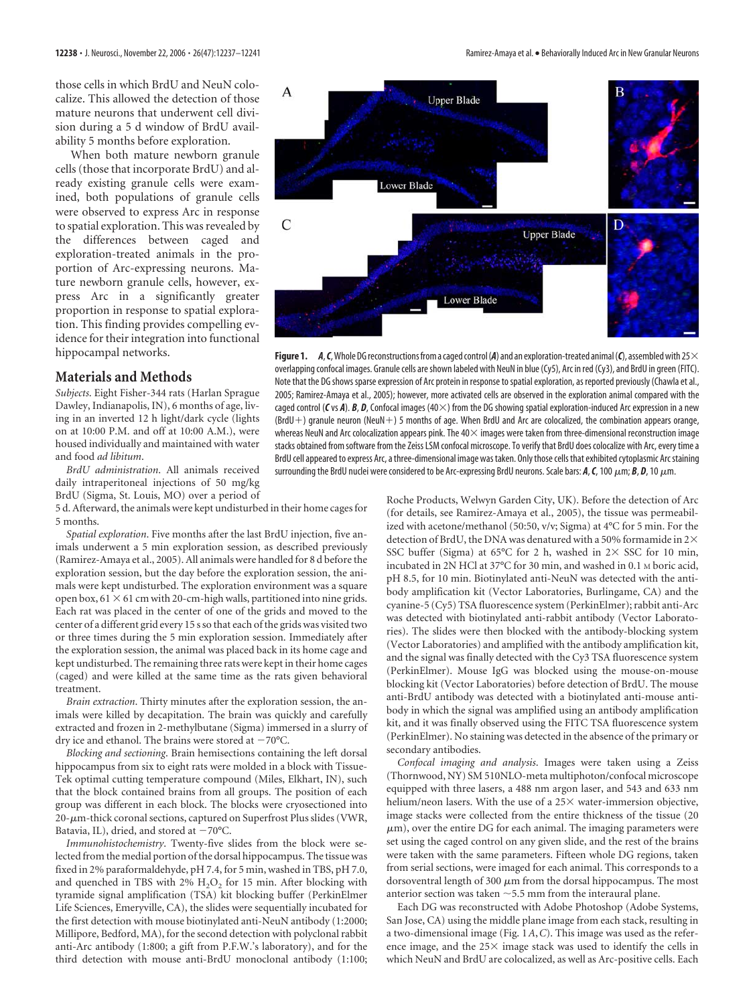those cells in which BrdU and NeuN colocalize. This allowed the detection of those mature neurons that underwent cell division during a 5 d window of BrdU availability 5 months before exploration.

When both mature newborn granule cells (those that incorporate BrdU) and already existing granule cells were examined, both populations of granule cells were observed to express Arc in response to spatial exploration. This was revealed by the differences between caged and exploration-treated animals in the proportion of Arc-expressing neurons. Mature newborn granule cells, however, express Arc in a significantly greater proportion in response to spatial exploration. This finding provides compelling evidence for their integration into functional hippocampal networks.

## **Materials and Methods**

*Subjects*. Eight Fisher-344 rats (Harlan Sprague Dawley, Indianapolis, IN), 6 months of age, living in an inverted 12 h light/dark cycle (lights on at 10:00 P.M. and off at 10:00 A.M.), were housed individually and maintained with water and food *ad libitum*.

*BrdU administration*. All animals received daily intraperitoneal injections of 50 mg/kg BrdU (Sigma, St. Louis, MO) over a period of

5 d. Afterward, the animals were kept undisturbed in their home cages for 5 months.

*Spatial exploration*. Five months after the last BrdU injection, five animals underwent a 5 min exploration session, as described previously (Ramirez-Amaya et al., 2005). All animals were handled for 8 d before the exploration session, but the day before the exploration session, the animals were kept undisturbed. The exploration environment was a square open box,  $61 \times 61$  cm with 20-cm-high walls, partitioned into nine grids. Each rat was placed in the center of one of the grids and moved to the center of a different grid every 15 s so that each of the grids was visited two or three times during the 5 min exploration session. Immediately after the exploration session, the animal was placed back in its home cage and kept undisturbed. The remaining three rats were kept in their home cages (caged) and were killed at the same time as the rats given behavioral treatment.

*Brain extraction*. Thirty minutes after the exploration session, the animals were killed by decapitation. The brain was quickly and carefully extracted and frozen in 2-methylbutane (Sigma) immersed in a slurry of dry ice and ethanol. The brains were stored at  $-70^{\circ}$ C.

*Blocking and sectioning*. Brain hemisections containing the left dorsal hippocampus from six to eight rats were molded in a block with Tissue-Tek optimal cutting temperature compound (Miles, Elkhart, IN), such that the block contained brains from all groups. The position of each group was different in each block. The blocks were cryosectioned into  $20$ - $\mu$ m-thick coronal sections, captured on Superfrost Plus slides (VWR, Batavia, IL), dried, and stored at  $-70^{\circ}$ C.

*Immunohistochemistry*. Twenty-five slides from the block were selected from the medial portion of the dorsal hippocampus. The tissue was fixed in 2% paraformaldehyde, pH 7.4, for 5 min, washed in TBS, pH 7.0, and quenched in TBS with  $2\%$  H<sub>2</sub>O<sub>2</sub> for 15 min. After blocking with tyramide signal amplification (TSA) kit blocking buffer (PerkinElmer Life Sciences, Emeryville, CA), the slides were sequentially incubated for the first detection with mouse biotinylated anti-NeuN antibody (1:2000; Millipore, Bedford, MA), for the second detection with polyclonal rabbit anti-Arc antibody (1:800; a gift from P.F.W.'s laboratory), and for the third detection with mouse anti-BrdU monoclonal antibody (1:100;



**Figure 1.** *A*, *C*, Whole DG reconstructions from a caged control (A) and an exploration-treated animal (*C*), assembled with 25 $\times$ overlapping confocal images. Granule cells are shown labeled with NeuN in blue (Cy5), Arc in red (Cy3), and BrdU in green (FITC). Note that the DG shows sparse expression of Arc protein in response to spatial exploration, as reported previously (Chawla et al., 2005; Ramirez-Amaya et al., 2005); however, more activated cells are observed in the exploration animal compared with the caged control ( $C$ vs  $A$ ).  $B$ ,  $D$ , Confocal images ( $40\times$ ) from the DG showing spatial exploration-induced Arc expression in a new  $(BrdU+)$  granule neuron (NeuN+) 5 months of age. When BrdU and Arc are colocalized, the combination appears orange, whereas NeuN and Arc colocalization appears pink. The 40 $\times$  images were taken from three-dimensional reconstruction image stacks obtained from software from the Zeiss LSM confocal microscope. To verify that BrdU does colocalize with Arc, every time a BrdU cell appeared to express Arc, a three-dimensional image was taken. Only those cells that exhibited cytoplasmic Arcstaining surrounding the BrdU nuclei were considered to be Arc-expressing BrdU neurons. Scale bars:  $A$ ,  $C$ , 100  $\mu$ m;  $B$ ,  $D$ , 10  $\mu$ m.

Roche Products, Welwyn Garden City, UK). Before the detection of Arc (for details, see Ramirez-Amaya et al., 2005), the tissue was permeabilized with acetone/methanol (50:50, v/v; Sigma) at 4°C for 5 min. For the detection of BrdU, the DNA was denatured with a 50% formamide in  $2\times$ SSC buffer (Sigma) at  $65^{\circ}$ C for 2 h, washed in  $2 \times$  SSC for 10 min, incubated in 2N HCl at 37°C for 30 min, and washed in 0.1 M boric acid, pH 8.5, for 10 min. Biotinylated anti-NeuN was detected with the antibody amplification kit (Vector Laboratories, Burlingame, CA) and the cyanine-5 (Cy5) TSA fluorescence system (PerkinElmer); rabbit anti-Arc was detected with biotinylated anti-rabbit antibody (Vector Laboratories). The slides were then blocked with the antibody-blocking system (Vector Laboratories) and amplified with the antibody amplification kit, and the signal was finally detected with the Cy3 TSA fluorescence system (PerkinElmer). Mouse IgG was blocked using the mouse-on-mouse blocking kit (Vector Laboratories) before detection of BrdU. The mouse anti-BrdU antibody was detected with a biotinylated anti-mouse antibody in which the signal was amplified using an antibody amplification kit, and it was finally observed using the FITC TSA fluorescence system (PerkinElmer). No staining was detected in the absence of the primary or secondary antibodies.

*Confocal imaging and analysis*. Images were taken using a Zeiss (Thornwood, NY) SM 510NLO-meta multiphoton/confocal microscope equipped with three lasers, a 488 nm argon laser, and 543 and 633 nm helium/neon lasers. With the use of a  $25\times$  water-immersion objective, image stacks were collected from the entire thickness of the tissue (20  $\mu$ m), over the entire DG for each animal. The imaging parameters were set using the caged control on any given slide, and the rest of the brains were taken with the same parameters. Fifteen whole DG regions, taken from serial sections, were imaged for each animal. This corresponds to a dorsoventral length of 300  $\mu$ m from the dorsal hippocampus. The most anterior section was taken  $\sim$  5.5 mm from the interaural plane.

Each DG was reconstructed with Adobe Photoshop (Adobe Systems, San Jose, CA) using the middle plane image from each stack, resulting in a two-dimensional image (Fig. 1*A*,*C*). This image was used as the reference image, and the  $25\times$  image stack was used to identify the cells in which NeuN and BrdU are colocalized, as well as Arc-positive cells. Each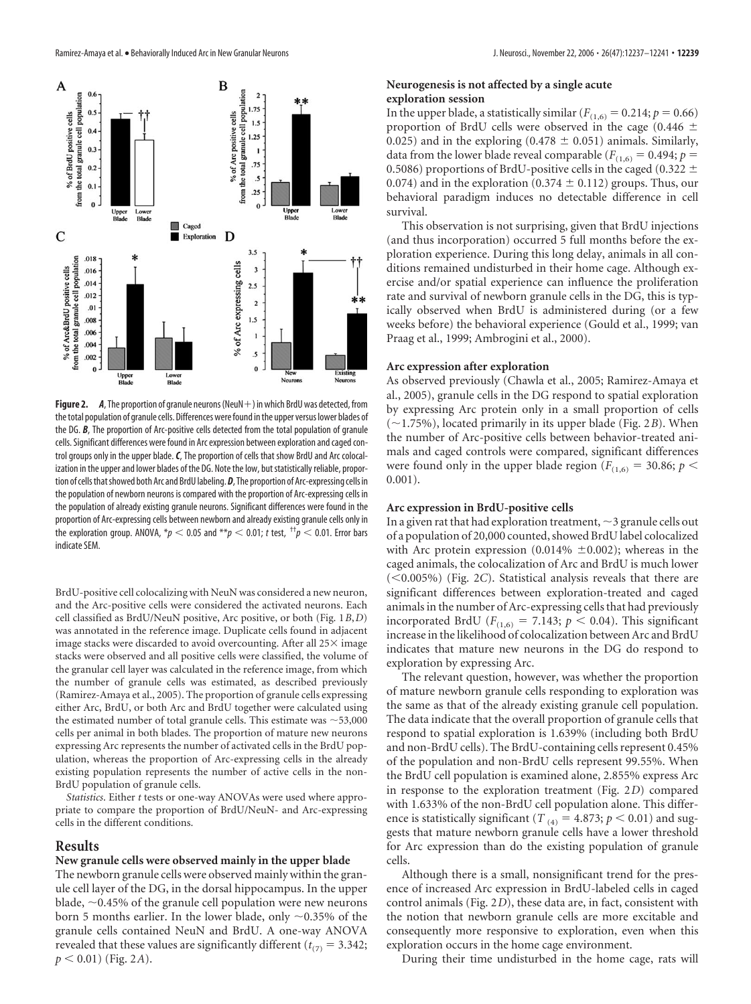

**Figure 2.** *A*, The proportion of granule neurons (NeuN $+$ ) in which BrdU was detected, from the total population of granule cells. Differences were found in the upper versus lower blades of the DG. *B*, The proportion of Arc-positive cells detected from the total population of granule cells. Significant differences were found in Arc expression between exploration and caged control groups only in the upper blade.*C*, The proportion of cells that show BrdU and Arc colocalization in the upper and lower blades of the DG. Note the low, but statistically reliable, proportion of cells that showed both Arc and BrdU labeling. D, The proportion of Arc-expressing cells in the population of newborn neurons is compared with the proportion of Arc-expressing cells in the population of already existing granule neurons. Significant differences were found in the proportion of Arc-expressing cells between newborn and already existing granule cells only in the exploration group. ANOVA,  $^*p <$  0.05 and  $^{**}p <$  0.01;  $t$  test,  $^{+\dagger}p <$  0.01. Error bars indicate SEM.

BrdU-positive cell colocalizing with NeuN was considered a new neuron, and the Arc-positive cells were considered the activated neurons. Each cell classified as BrdU/NeuN positive, Arc positive, or both (Fig. 1*B*,*D*) was annotated in the reference image. Duplicate cells found in adjacent image stacks were discarded to avoid overcounting. After all  $25\times$  image stacks were observed and all positive cells were classified, the volume of the granular cell layer was calculated in the reference image, from which the number of granule cells was estimated, as described previously (Ramirez-Amaya et al., 2005). The proportion of granule cells expressing either Arc, BrdU, or both Arc and BrdU together were calculated using the estimated number of total granule cells. This estimate was  $\sim$  53,000 cells per animal in both blades. The proportion of mature new neurons expressing Arc represents the number of activated cells in the BrdU population, whereas the proportion of Arc-expressing cells in the already existing population represents the number of active cells in the non-BrdU population of granule cells.

*Statistics*. Either *t* tests or one-way ANOVAs were used where appropriate to compare the proportion of BrdU/NeuN- and Arc-expressing cells in the different conditions.

## **Results**

#### **New granule cells were observed mainly in the upper blade**

The newborn granule cells were observed mainly within the granule cell layer of the DG, in the dorsal hippocampus. In the upper blade,  $\sim$  0.45% of the granule cell population were new neurons born 5 months earlier. In the lower blade, only  $\sim 0.35\%$  of the granule cells contained NeuN and BrdU. A one-way ANOVA revealed that these values are significantly different ( $t_{(7)} = 3.342$ ;  $p < 0.01$ ) (Fig. 2*A*).

#### **Neurogenesis is not affected by a single acute exploration session**

In the upper blade, a statistically similar ( $F_{(1,6)} = 0.214$ ;  $p = 0.66$ ) proportion of BrdU cells were observed in the cage (0.446  $\pm$ 0.025) and in the exploring (0.478  $\pm$  0.051) animals. Similarly, data from the lower blade reveal comparable ( $F_{(1,6)} = 0.494$ ;  $p =$ 0.5086) proportions of BrdU-positive cells in the caged (0.322  $\pm$ 0.074) and in the exploration (0.374  $\pm$  0.112) groups. Thus, our behavioral paradigm induces no detectable difference in cell survival.

This observation is not surprising, given that BrdU injections (and thus incorporation) occurred 5 full months before the exploration experience. During this long delay, animals in all conditions remained undisturbed in their home cage. Although exercise and/or spatial experience can influence the proliferation rate and survival of newborn granule cells in the DG, this is typically observed when BrdU is administered during (or a few weeks before) the behavioral experience (Gould et al., 1999; van Praag et al., 1999; Ambrogini et al., 2000).

## **Arc expression after exploration**

As observed previously (Chawla et al., 2005; Ramirez-Amaya et al., 2005), granule cells in the DG respond to spatial exploration by expressing Arc protein only in a small proportion of cells  $(\sim 1.75\%)$ , located primarily in its upper blade (Fig. 2*B*). When the number of Arc-positive cells between behavior-treated animals and caged controls were compared, significant differences were found only in the upper blade region ( $F_{(1,6)} = 30.86; p <$ 0.001).

#### **Arc expression in BrdU-positive cells**

In a given rat that had exploration treatment,  $\sim$  3 granule cells out of a population of 20,000 counted, showed BrdU label colocalized with Arc protein expression (0.014%  $\pm$ 0.002); whereas in the caged animals, the colocalization of Arc and BrdU is much lower (<0.005%) (Fig. 2C). Statistical analysis reveals that there are significant differences between exploration-treated and caged animals in the number of Arc-expressing cells that had previously incorporated BrdU ( $F_{(1,6)} = 7.143$ ;  $p < 0.04$ ). This significant increase in the likelihood of colocalization between Arc and BrdU indicates that mature new neurons in the DG do respond to exploration by expressing Arc.

The relevant question, however, was whether the proportion of mature newborn granule cells responding to exploration was the same as that of the already existing granule cell population. The data indicate that the overall proportion of granule cells that respond to spatial exploration is 1.639% (including both BrdU and non-BrdU cells). The BrdU-containing cells represent 0.45% of the population and non-BrdU cells represent 99.55%. When the BrdU cell population is examined alone, 2.855% express Arc in response to the exploration treatment (Fig. 2*D*) compared with 1.633% of the non-BrdU cell population alone. This difference is statistically significant ( $T_{(4)} = 4.873$ ;  $p < 0.01$ ) and suggests that mature newborn granule cells have a lower threshold for Arc expression than do the existing population of granule cells.

Although there is a small, nonsignificant trend for the presence of increased Arc expression in BrdU-labeled cells in caged control animals (Fig. 2*D*), these data are, in fact, consistent with the notion that newborn granule cells are more excitable and consequently more responsive to exploration, even when this exploration occurs in the home cage environment.

During their time undisturbed in the home cage, rats will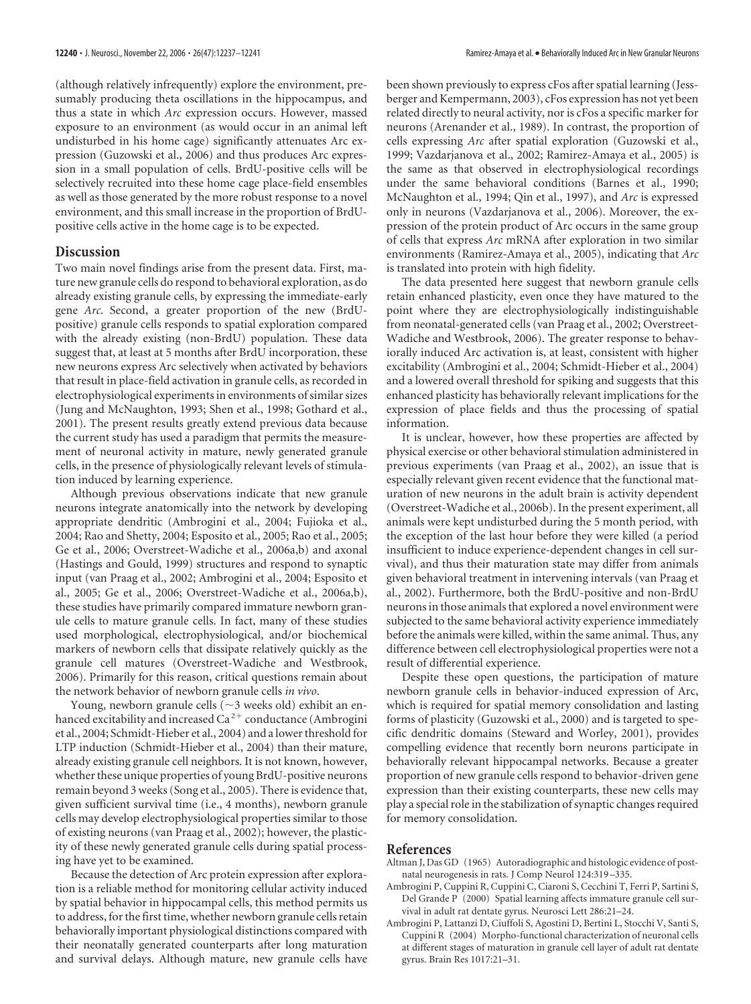(although relatively infrequently) explore the environment, presumably producing theta oscillations in the hippocampus, and thus a state in which *Arc* expression occurs. However, massed exposure to an environment (as would occur in an animal left undisturbed in his home cage) significantly attenuates Arc expression (Guzowski et al., 2006) and thus produces Arc expression in a small population of cells. BrdU-positive cells will be selectively recruited into these home cage place-field ensembles as well as those generated by the more robust response to a novel environment, and this small increase in the proportion of BrdUpositive cells active in the home cage is to be expected.

# **Discussion**

Two main novel findings arise from the present data. First, mature new granule cells do respond to behavioral exploration, as do already existing granule cells, by expressing the immediate-early gene *Arc*. Second, a greater proportion of the new (BrdUpositive) granule cells responds to spatial exploration compared with the already existing (non-BrdU) population. These data suggest that, at least at 5 months after BrdU incorporation, these new neurons express Arc selectively when activated by behaviors that result in place-field activation in granule cells, as recorded in electrophysiological experiments in environments of similar sizes (Jung and McNaughton, 1993; Shen et al., 1998; Gothard et al., 2001). The present results greatly extend previous data because the current study has used a paradigm that permits the measurement of neuronal activity in mature, newly generated granule cells, in the presence of physiologically relevant levels of stimulation induced by learning experience.

Although previous observations indicate that new granule neurons integrate anatomically into the network by developing appropriate dendritic (Ambrogini et al., 2004; Fujioka et al., 2004; Rao and Shetty, 2004; Esposito et al., 2005; Rao et al., 2005; Ge et al., 2006; Overstreet-Wadiche et al., 2006a,b) and axonal (Hastings and Gould, 1999) structures and respond to synaptic input (van Praag et al., 2002; Ambrogini et al., 2004; Esposito et al., 2005; Ge et al., 2006; Overstreet-Wadiche et al., 2006a,b), these studies have primarily compared immature newborn granule cells to mature granule cells. In fact, many of these studies used morphological, electrophysiological, and/or biochemical markers of newborn cells that dissipate relatively quickly as the granule cell matures (Overstreet-Wadiche and Westbrook, 2006). Primarily for this reason, critical questions remain about the network behavior of newborn granule cells *in vivo*.

Young, newborn granule cells ( $\sim$ 3 weeks old) exhibit an enhanced excitability and increased  $Ca^{2+}$  conductance (Ambrogini et al., 2004; Schmidt-Hieber et al., 2004) and a lower threshold for LTP induction (Schmidt-Hieber et al., 2004) than their mature, already existing granule cell neighbors. It is not known, however, whether these unique properties of young BrdU-positive neurons remain beyond 3 weeks (Song et al., 2005). There is evidence that, given sufficient survival time (i.e., 4 months), newborn granule cells may develop electrophysiological properties similar to those of existing neurons (van Praag et al., 2002); however, the plasticity of these newly generated granule cells during spatial processing have yet to be examined.

Because the detection of Arc protein expression after exploration is a reliable method for monitoring cellular activity induced by spatial behavior in hippocampal cells, this method permits us to address, for the first time, whether newborn granule cells retain behaviorally important physiological distinctions compared with their neonatally generated counterparts after long maturation and survival delays. Although mature, new granule cells have

been shown previously to express cFos after spatial learning (Jessberger and Kempermann, 2003), cFos expression has not yet been related directly to neural activity, nor is cFos a specific marker for neurons (Arenander et al., 1989). In contrast, the proportion of cells expressing *Arc* after spatial exploration (Guzowski et al., 1999; Vazdarjanova et al., 2002; Ramirez-Amaya et al., 2005) is the same as that observed in electrophysiological recordings under the same behavioral conditions (Barnes et al., 1990; McNaughton et al., 1994; Qin et al., 1997), and *Arc* is expressed only in neurons (Vazdarjanova et al., 2006). Moreover, the expression of the protein product of Arc occurs in the same group of cells that express *Arc* mRNA after exploration in two similar environments (Ramirez-Amaya et al., 2005), indicating that *Arc* is translated into protein with high fidelity.

The data presented here suggest that newborn granule cells retain enhanced plasticity, even once they have matured to the point where they are electrophysiologically indistinguishable from neonatal-generated cells (van Praag et al., 2002; Overstreet-Wadiche and Westbrook, 2006). The greater response to behaviorally induced Arc activation is, at least, consistent with higher excitability (Ambrogini et al., 2004; Schmidt-Hieber et al., 2004) and a lowered overall threshold for spiking and suggests that this enhanced plasticity has behaviorally relevant implications for the expression of place fields and thus the processing of spatial information.

It is unclear, however, how these properties are affected by physical exercise or other behavioral stimulation administered in previous experiments (van Praag et al., 2002), an issue that is especially relevant given recent evidence that the functional maturation of new neurons in the adult brain is activity dependent (Overstreet-Wadiche et al., 2006b). In the present experiment, all animals were kept undisturbed during the 5 month period, with the exception of the last hour before they were killed (a period insufficient to induce experience-dependent changes in cell survival), and thus their maturation state may differ from animals given behavioral treatment in intervening intervals (van Praag et al., 2002). Furthermore, both the BrdU-positive and non-BrdU neurons in those animals that explored a novel environment were subjected to the same behavioral activity experience immediately before the animals were killed, within the same animal. Thus, any difference between cell electrophysiological properties were not a result of differential experience.

Despite these open questions, the participation of mature newborn granule cells in behavior-induced expression of Arc, which is required for spatial memory consolidation and lasting forms of plasticity (Guzowski et al., 2000) and is targeted to specific dendritic domains (Steward and Worley, 2001), provides compelling evidence that recently born neurons participate in behaviorally relevant hippocampal networks. Because a greater proportion of new granule cells respond to behavior-driven gene expression than their existing counterparts, these new cells may play a special role in the stabilization of synaptic changes required for memory consolidation.

## **References**

- Altman J, Das GD (1965) Autoradiographic and histologic evidence of postnatal neurogenesis in rats. J Comp Neurol 124:319 –335.
- Ambrogini P, Cuppini R, Cuppini C, Ciaroni S, Cecchini T, Ferri P, Sartini S, Del Grande P (2000) Spatial learning affects immature granule cell survival in adult rat dentate gyrus. Neurosci Lett 286:21–24.
- Ambrogini P, Lattanzi D, Ciuffoli S, Agostini D, Bertini L, Stocchi V, Santi S, Cuppini R (2004) Morpho-functional characterization of neuronal cells at different stages of maturation in granule cell layer of adult rat dentate gyrus. Brain Res 1017:21–31.